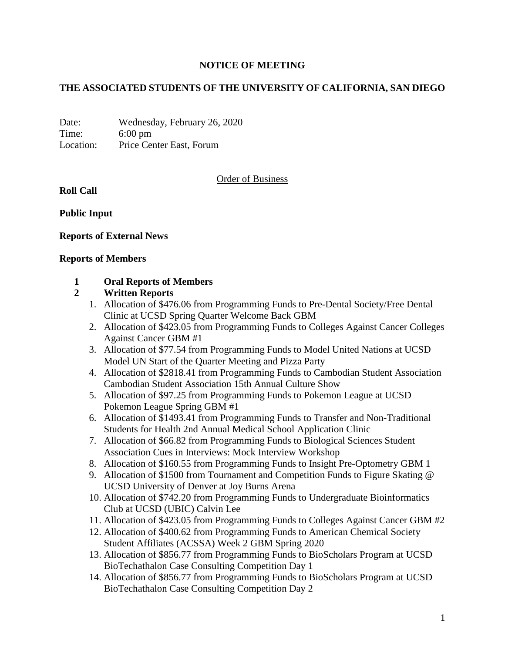# **NOTICE OF MEETING**

# **THE ASSOCIATED STUDENTS OF THE UNIVERSITY OF CALIFORNIA, SAN DIEGO**

Date: Wednesday, February 26, 2020 Time: 6:00 pm Location: Price Center East, Forum

## Order of Business

**Roll Call**

**Public Input**

### **Reports of External News**

#### **Reports of Members**

### **1 Oral Reports of Members**

### **2 Written Reports**

- 1. Allocation of \$476.06 from Programming Funds to Pre-Dental Society/Free Dental Clinic at UCSD Spring Quarter Welcome Back GBM
- 2. Allocation of \$423.05 from Programming Funds to Colleges Against Cancer Colleges Against Cancer GBM #1
- 3. Allocation of \$77.54 from Programming Funds to Model United Nations at UCSD Model UN Start of the Quarter Meeting and Pizza Party
- 4. Allocation of \$2818.41 from Programming Funds to Cambodian Student Association Cambodian Student Association 15th Annual Culture Show
- 5. Allocation of \$97.25 from Programming Funds to Pokemon League at UCSD Pokemon League Spring GBM #1
- 6. Allocation of \$1493.41 from Programming Funds to Transfer and Non-Traditional Students for Health 2nd Annual Medical School Application Clinic
- 7. Allocation of \$66.82 from Programming Funds to Biological Sciences Student Association Cues in Interviews: Mock Interview Workshop
- 8. Allocation of \$160.55 from Programming Funds to Insight Pre-Optometry GBM 1
- 9. Allocation of \$1500 from Tournament and Competition Funds to Figure Skating @ UCSD University of Denver at Joy Burns Arena
- 10. Allocation of \$742.20 from Programming Funds to Undergraduate Bioinformatics Club at UCSD (UBIC) Calvin Lee
- 11. Allocation of \$423.05 from Programming Funds to Colleges Against Cancer GBM #2
- 12. Allocation of \$400.62 from Programming Funds to American Chemical Society Student Affiliates (ACSSA) Week 2 GBM Spring 2020
- 13. Allocation of \$856.77 from Programming Funds to BioScholars Program at UCSD BioTechathalon Case Consulting Competition Day 1
- 14. Allocation of \$856.77 from Programming Funds to BioScholars Program at UCSD BioTechathalon Case Consulting Competition Day 2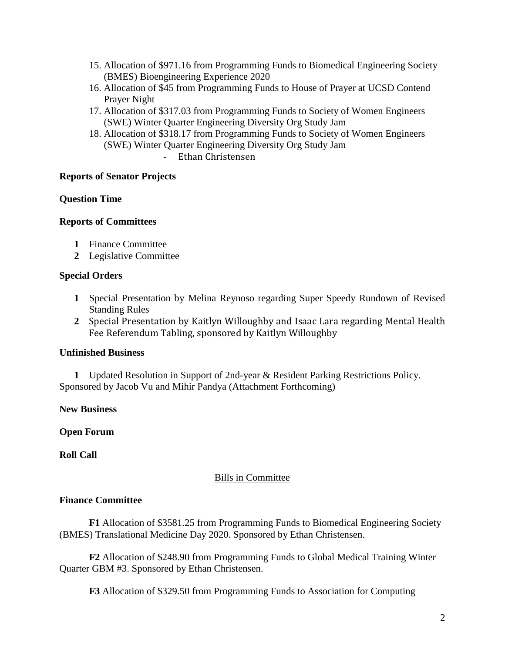- 15. Allocation of \$971.16 from Programming Funds to Biomedical Engineering Society (BMES) Bioengineering Experience 2020
- 16. Allocation of \$45 from Programming Funds to House of Prayer at UCSD Contend Prayer Night
- 17. Allocation of \$317.03 from Programming Funds to Society of Women Engineers (SWE) Winter Quarter Engineering Diversity Org Study Jam
- 18. Allocation of \$318.17 from Programming Funds to Society of Women Engineers (SWE) Winter Quarter Engineering Diversity Org Study Jam
	- Ethan Christensen

### **Reports of Senator Projects**

## **Question Time**

## **Reports of Committees**

- **1** Finance Committee
- **2** Legislative Committee

### **Special Orders**

- **1** Special Presentation by Melina Reynoso regarding Super Speedy Rundown of Revised Standing Rules
- **2** Special Presentation by Kaitlyn Willoughby and Isaac Lara regarding Mental Health Fee Referendum Tabling, sponsored by Kaitlyn Willoughby

### **Unfinished Business**

 **1** Updated Resolution in Support of 2nd-year & Resident Parking Restrictions Policy. Sponsored by Jacob Vu and Mihir Pandya (Attachment Forthcoming)

**New Business**

# **Open Forum**

**Roll Call**

### Bills in Committee

### **Finance Committee**

**F1** Allocation of \$3581.25 from Programming Funds to Biomedical Engineering Society (BMES) Translational Medicine Day 2020. Sponsored by Ethan Christensen.

**F2** Allocation of \$248.90 from Programming Funds to Global Medical Training Winter Quarter GBM #3. Sponsored by Ethan Christensen.

**F3** Allocation of \$329.50 from Programming Funds to Association for Computing